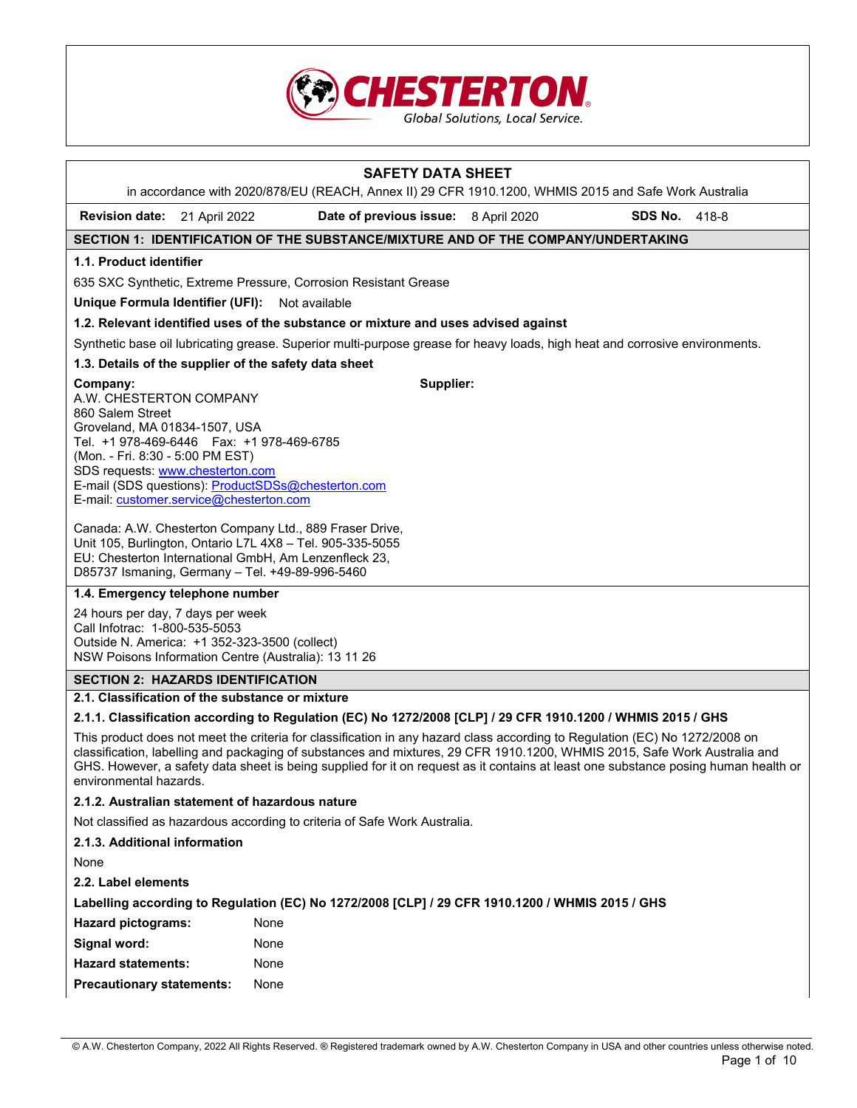

# **SAFETY DATA SHEET**  in accordance with 2020/878/EU (REACH, Annex II) 29 CFR 1910.1200, WHMIS 2015 and Safe Work Australia **Revision date:** 21 April 2022 **Date of previous issue:** 8 April 2020 **SDS No.** 418-8 **SECTION 1: IDENTIFICATION OF THE SUBSTANCE/MIXTURE AND OF THE COMPANY/UNDERTAKING 1.1. Product identifier**  635 SXC Synthetic, Extreme Pressure, Corrosion Resistant Grease **Unique Formula Identifier (UFI): Not available 1.2. Relevant identified uses of the substance or mixture and uses advised against** Synthetic base oil lubricating grease. Superior multi-purpose grease for heavy loads, high heat and corrosive environments. **1.3. Details of the supplier of the safety data sheet Company:** A.W. CHESTERTON COMPANY 860 Salem Street Groveland, MA 01834-1507, USA Tel. +1 978-469-6446 Fax: +1 978-469-6785 (Mon. - Fri. 8:30 - 5:00 PM EST) SDS requests: www.chesterton.com E-mail (SDS questions): ProductSDSs@chesterton.com E-mail: customer.service@chesterton.com Canada: A.W. Chesterton Company Ltd., 889 Fraser Drive, Unit 105, Burlington, Ontario L7L 4X8 – Tel. 905-335-5055 EU: Chesterton International GmbH, Am Lenzenfleck 23, D85737 Ismaning, Germany – Tel. +49-89-996-5460 **Supplier: 1.4. Emergency telephone number** 24 hours per day, 7 days per week Call Infotrac: 1-800-535-5053 Outside N. America: +1 352-323-3500 (collect) NSW Poisons Information Centre (Australia): 13 11 26 **SECTION 2: HAZARDS IDENTIFICATION 2.1. Classification of the substance or mixture 2.1.1. Classification according to Regulation (EC) No 1272/2008 [CLP] / 29 CFR 1910.1200 / WHMIS 2015 / GHS**

This product does not meet the criteria for classification in any hazard class according to Regulation (EC) No 1272/2008 on classification, labelling and packaging of substances and mixtures, 29 CFR 1910.1200, WHMIS 2015, Safe Work Australia and GHS. However, a safety data sheet is being supplied for it on request as it contains at least one substance posing human health or environmental hazards.

#### **2.1.2. Australian statement of hazardous nature**

Not classified as hazardous according to criteria of Safe Work Australia.

#### **2.1.3. Additional information**

None

**2.2. Label elements** 

**Labelling according to Regulation (EC) No 1272/2008 [CLP] / 29 CFR 1910.1200 / WHMIS 2015 / GHS** 

| <b>Hazard pictograms:</b>        | None |
|----------------------------------|------|
| Signal word:                     | None |
| <b>Hazard statements:</b>        | None |
| <b>Precautionary statements:</b> | None |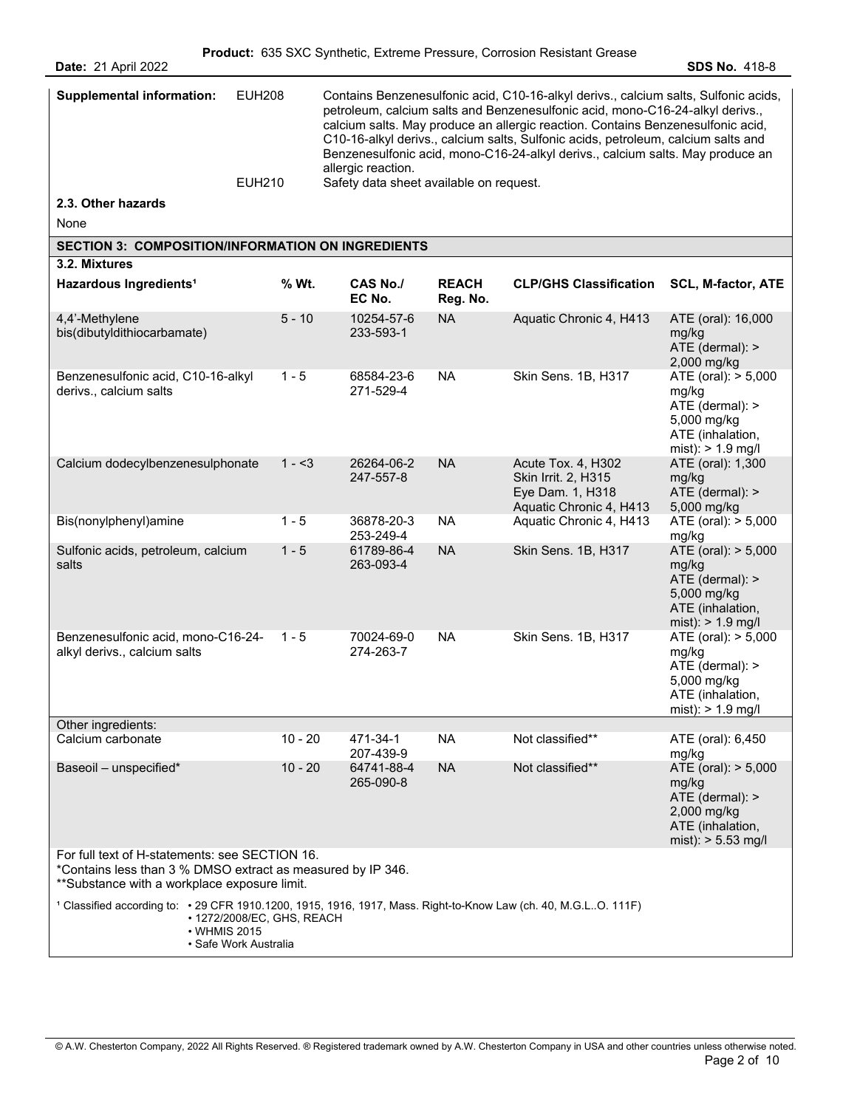| <b>Supplemental information:</b>                                                                                                                              | <b>EUH208</b>                                       | allergic reaction.                      |                          | Contains Benzenesulfonic acid, C10-16-alkyl derivs., calcium salts, Sulfonic acids,<br>petroleum, calcium salts and Benzenesulfonic acid, mono-C16-24-alkyl derivs.,<br>calcium salts. May produce an allergic reaction. Contains Benzenesulfonic acid,<br>C10-16-alkyl derivs., calcium salts, Sulfonic acids, petroleum, calcium salts and<br>Benzenesulfonic acid, mono-C16-24-alkyl derivs., calcium salts. May produce an |                                                                                                            |
|---------------------------------------------------------------------------------------------------------------------------------------------------------------|-----------------------------------------------------|-----------------------------------------|--------------------------|--------------------------------------------------------------------------------------------------------------------------------------------------------------------------------------------------------------------------------------------------------------------------------------------------------------------------------------------------------------------------------------------------------------------------------|------------------------------------------------------------------------------------------------------------|
|                                                                                                                                                               | <b>EUH210</b>                                       | Safety data sheet available on request. |                          |                                                                                                                                                                                                                                                                                                                                                                                                                                |                                                                                                            |
| 2.3. Other hazards                                                                                                                                            |                                                     |                                         |                          |                                                                                                                                                                                                                                                                                                                                                                                                                                |                                                                                                            |
| None                                                                                                                                                          |                                                     |                                         |                          |                                                                                                                                                                                                                                                                                                                                                                                                                                |                                                                                                            |
| <b>SECTION 3: COMPOSITION/INFORMATION ON INGREDIENTS</b>                                                                                                      |                                                     |                                         |                          |                                                                                                                                                                                                                                                                                                                                                                                                                                |                                                                                                            |
| 3.2. Mixtures                                                                                                                                                 |                                                     |                                         |                          |                                                                                                                                                                                                                                                                                                                                                                                                                                |                                                                                                            |
| Hazardous Ingredients <sup>1</sup>                                                                                                                            | % Wt.                                               | <b>CAS No./</b><br>EC No.               | <b>REACH</b><br>Reg. No. | <b>CLP/GHS Classification</b>                                                                                                                                                                                                                                                                                                                                                                                                  | <b>SCL, M-factor, ATE</b>                                                                                  |
| 4,4'-Methylene<br>bis(dibutyldithiocarbamate)                                                                                                                 | $5 - 10$                                            | 10254-57-6<br>233-593-1                 | <b>NA</b>                | Aquatic Chronic 4, H413                                                                                                                                                                                                                                                                                                                                                                                                        | ATE (oral): 16,000<br>mg/kg<br>ATE (dermal): ><br>2,000 mg/kg                                              |
| Benzenesulfonic acid, C10-16-alkyl<br>derivs., calcium salts                                                                                                  | $1 - 5$                                             | 68584-23-6<br>271-529-4                 | <b>NA</b>                | Skin Sens. 1B, H317                                                                                                                                                                                                                                                                                                                                                                                                            | ATE (oral): > 5,000<br>mg/kg<br>ATE (dermal): ><br>5,000 mg/kg<br>ATE (inhalation,<br>mist): $> 1.9$ mg/l  |
| Calcium dodecylbenzenesulphonate                                                                                                                              | $1 - 3$                                             | 26264-06-2<br>247-557-8                 | <b>NA</b>                | Acute Tox. 4, H302<br>Skin Irrit. 2, H315<br>Eye Dam. 1, H318<br>Aquatic Chronic 4, H413                                                                                                                                                                                                                                                                                                                                       | ATE (oral): 1,300<br>mg/kg<br>ATE (dermal): ><br>5,000 mg/kg                                               |
| Bis(nonylphenyl)amine                                                                                                                                         | $1 - 5$                                             | 36878-20-3<br>253-249-4                 | <b>NA</b>                | Aquatic Chronic 4, H413                                                                                                                                                                                                                                                                                                                                                                                                        | ATE (oral): > 5,000<br>mg/kg                                                                               |
| Sulfonic acids, petroleum, calcium<br>salts                                                                                                                   | $1 - 5$                                             | 61789-86-4<br>263-093-4                 | <b>NA</b>                | Skin Sens. 1B, H317                                                                                                                                                                                                                                                                                                                                                                                                            | ATE (oral): > 5,000<br>mg/kg<br>ATE (dermal): ><br>5,000 mg/kg<br>ATE (inhalation,<br>mist): $> 1.9$ mg/l  |
| Benzenesulfonic acid, mono-C16-24-<br>alkyl derivs., calcium salts                                                                                            | $1 - 5$                                             | 70024-69-0<br>274-263-7                 | <b>NA</b>                | Skin Sens. 1B, H317                                                                                                                                                                                                                                                                                                                                                                                                            | ATE (oral): > 5,000<br>mg/kg<br>ATE (dermal): ><br>5,000 mg/kg<br>ATE (inhalation,<br>mist): $> 1.9$ mg/l  |
| Other ingredients:<br>Calcium carbonate                                                                                                                       | $10 - 20$                                           | 471-34-1                                | <b>NA</b>                | Not classified**                                                                                                                                                                                                                                                                                                                                                                                                               |                                                                                                            |
|                                                                                                                                                               |                                                     | 207-439-9                               |                          |                                                                                                                                                                                                                                                                                                                                                                                                                                | ATE (oral): 6,450<br>mg/kg                                                                                 |
| Baseoil - unspecified*                                                                                                                                        | $10 - 20$                                           | 64741-88-4<br>265-090-8                 | <b>NA</b>                | Not classified**                                                                                                                                                                                                                                                                                                                                                                                                               | ATE (oral): > 5,000<br>mg/kg<br>ATE (dermal): ><br>2,000 mg/kg<br>ATE (inhalation,<br>mist): $> 5.53$ mg/l |
| For full text of H-statements: see SECTION 16.<br>*Contains less than 3 % DMSO extract as measured by IP 346.<br>**Substance with a workplace exposure limit. |                                                     |                                         |                          |                                                                                                                                                                                                                                                                                                                                                                                                                                |                                                                                                            |
| 1 Classified according to: • 29 CFR 1910.1200, 1915, 1916, 1917, Mass. Right-to-Know Law (ch. 40, M.G.LO. 111F)<br>• WHMIS 2015                               | • 1272/2008/EC, GHS, REACH<br>• Safe Work Australia |                                         |                          |                                                                                                                                                                                                                                                                                                                                                                                                                                |                                                                                                            |

© A.W. Chesterton Company, 2022 All Rights Reserved. ® Registered trademark owned by A.W. Chesterton Company in USA and other countries unless otherwise noted. Page 2 of 10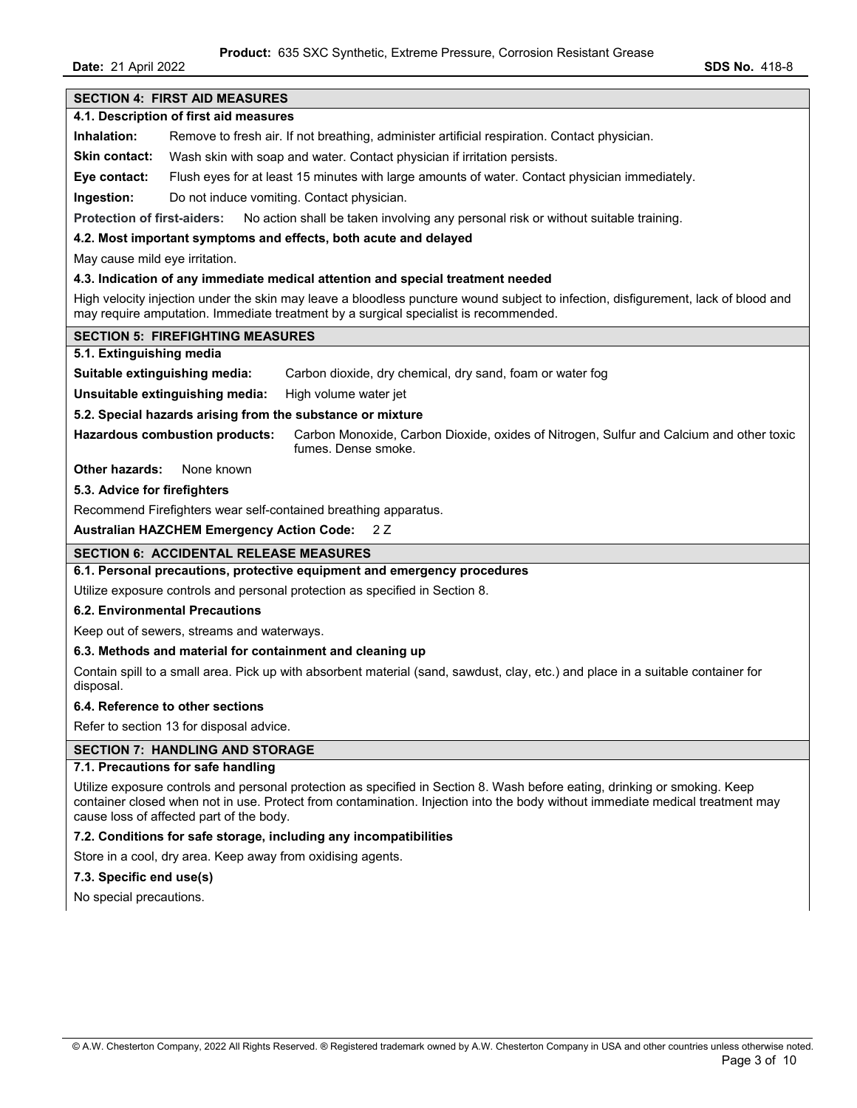**Date:** 21 April 2022 **SDS No.** 418-8

| <b>SECTION 4: FIRST AID MEASURES</b>                                                                                                                                                                                       |
|----------------------------------------------------------------------------------------------------------------------------------------------------------------------------------------------------------------------------|
| 4.1. Description of first aid measures                                                                                                                                                                                     |
| Inhalation:<br>Remove to fresh air. If not breathing, administer artificial respiration. Contact physician.                                                                                                                |
| <b>Skin contact:</b><br>Wash skin with soap and water. Contact physician if irritation persists.                                                                                                                           |
|                                                                                                                                                                                                                            |
| Flush eyes for at least 15 minutes with large amounts of water. Contact physician immediately.<br>Eye contact:                                                                                                             |
| Do not induce vomiting. Contact physician.<br>Ingestion:                                                                                                                                                                   |
| <b>Protection of first-aiders:</b><br>No action shall be taken involving any personal risk or without suitable training.                                                                                                   |
| 4.2. Most important symptoms and effects, both acute and delayed                                                                                                                                                           |
| May cause mild eye irritation.                                                                                                                                                                                             |
| 4.3. Indication of any immediate medical attention and special treatment needed                                                                                                                                            |
| High velocity injection under the skin may leave a bloodless puncture wound subject to infection, disfigurement, lack of blood and<br>may require amputation. Immediate treatment by a surgical specialist is recommended. |
| <b>SECTION 5: FIREFIGHTING MEASURES</b>                                                                                                                                                                                    |
| 5.1. Extinguishing media                                                                                                                                                                                                   |
| Suitable extinguishing media:<br>Carbon dioxide, dry chemical, dry sand, foam or water fog                                                                                                                                 |
| Unsuitable extinguishing media:<br>High volume water jet                                                                                                                                                                   |
| 5.2. Special hazards arising from the substance or mixture                                                                                                                                                                 |
| <b>Hazardous combustion products:</b><br>Carbon Monoxide, Carbon Dioxide, oxides of Nitrogen, Sulfur and Calcium and other toxic<br>fumes. Dense smoke.                                                                    |
| <b>Other hazards:</b><br>None known                                                                                                                                                                                        |
| 5.3. Advice for firefighters                                                                                                                                                                                               |
| Recommend Firefighters wear self-contained breathing apparatus.                                                                                                                                                            |
| <b>Australian HAZCHEM Emergency Action Code:</b><br>2 Z                                                                                                                                                                    |
| <b>SECTION 6: ACCIDENTAL RELEASE MEASURES</b>                                                                                                                                                                              |
| 6.1. Personal precautions, protective equipment and emergency procedures                                                                                                                                                   |
| Utilize exposure controls and personal protection as specified in Section 8.                                                                                                                                               |
| 6.2. Environmental Precautions                                                                                                                                                                                             |
| Keep out of sewers, streams and waterways.                                                                                                                                                                                 |
| 6.3. Methods and material for containment and cleaning up                                                                                                                                                                  |
| Contain spill to a small area. Pick up with absorbent material (sand, sawdust, clay, etc.) and place in a suitable container for<br>disposal.                                                                              |
| 6.4. Reference to other sections                                                                                                                                                                                           |
| Refer to section 13 for disposal advice.                                                                                                                                                                                   |
| <b>SECTION 7: HANDLING AND STORAGE</b>                                                                                                                                                                                     |
| 7.1. Precautions for safe handling                                                                                                                                                                                         |
| Utilize exposure controls and personal protection as specified in Section 8. Wash before eating, drinking or smoking. Keep                                                                                                 |

container closed when not in use. Protect from contamination. Injection into the body without immediate medical treatment may cause loss of affected part of the body.

#### **7.2. Conditions for safe storage, including any incompatibilities**

Store in a cool, dry area. Keep away from oxidising agents.

### **7.3. Specific end use(s)**

No special precautions.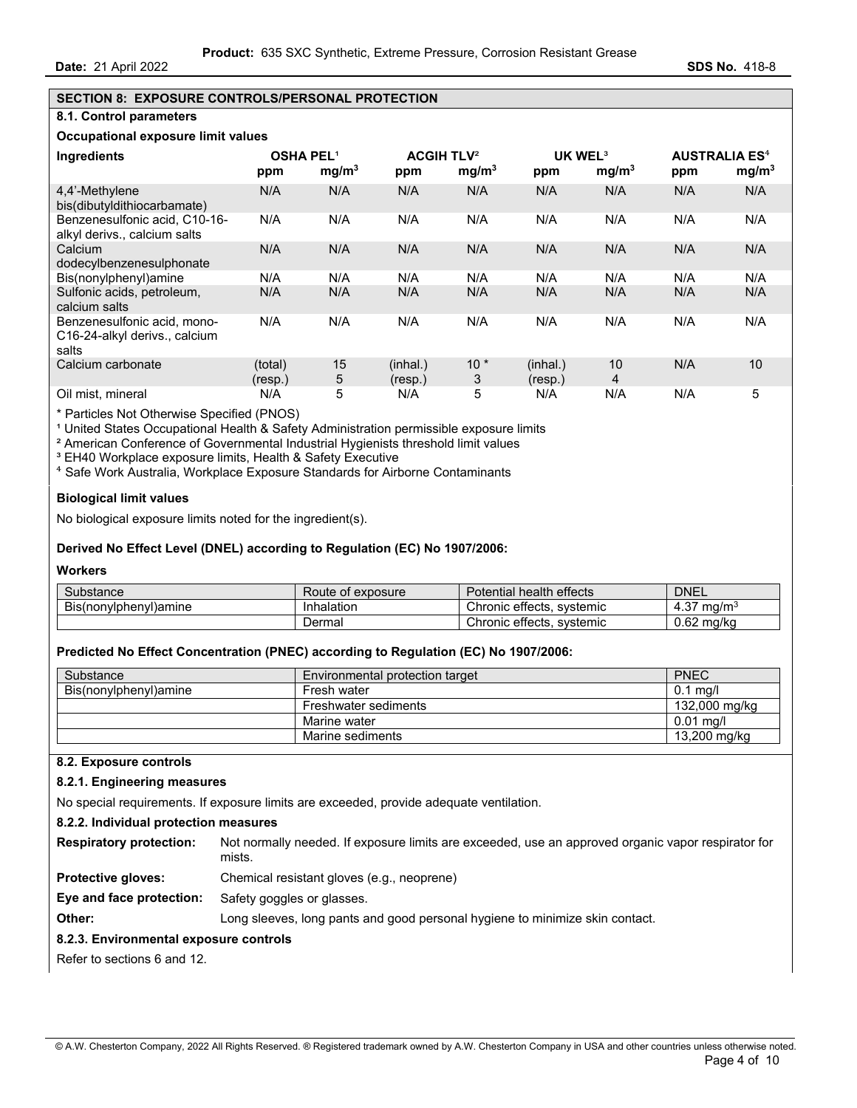# **SECTION 8: EXPOSURE CONTROLS/PERSONAL PROTECTION**

## **8.1. Control parameters**

#### **Occupational exposure limit values**

| <b>Ingredients</b>                                                    | <b>OSHA PEL1</b><br>ppm | mg/m <sup>3</sup> | <b>ACGIH TLV<sup>2</sup></b><br>ppm | mg/m <sup>3</sup> | UK WEL <sup>3</sup><br>ppm | mg/m <sup>3</sup> | <b>AUSTRALIA ES<sup>4</sup></b><br>ppm | mg/m <sup>3</sup> |
|-----------------------------------------------------------------------|-------------------------|-------------------|-------------------------------------|-------------------|----------------------------|-------------------|----------------------------------------|-------------------|
| 4.4'-Methylene<br>bis(dibutyldithiocarbamate)                         | N/A                     | N/A               | N/A                                 | N/A               | N/A                        | N/A               | N/A                                    | N/A               |
| Benzenesulfonic acid. C10-16-<br>alkyl derivs., calcium salts         | N/A                     | N/A               | N/A                                 | N/A               | N/A                        | N/A               | N/A                                    | N/A               |
| Calcium<br>dodecylbenzenesulphonate                                   | N/A                     | N/A               | N/A                                 | N/A               | N/A                        | N/A               | N/A                                    | N/A               |
| Bis(nonylphenyl)amine                                                 | N/A                     | N/A               | N/A                                 | N/A               | N/A                        | N/A               | N/A                                    | N/A               |
| Sulfonic acids, petroleum,<br>calcium salts                           | N/A                     | N/A               | N/A                                 | N/A               | N/A                        | N/A               | N/A                                    | N/A               |
| Benzenesulfonic acid, mono-<br>C16-24-alkyl derivs., calcium<br>salts | N/A                     | N/A               | N/A                                 | N/A               | N/A                        | N/A               | N/A                                    | N/A               |
| Calcium carbonate                                                     | (total)<br>(resp.)      | 15<br>5           | (inhal.)<br>(resp.)                 | $10*$<br>3        | (inhal.)<br>(resp.)        | 10<br>4           | N/A                                    | 10                |
| Oil mist, mineral                                                     | N/A                     | 5                 | N/A                                 | 5                 | N/A                        | N/A               | N/A                                    | 5                 |

\* Particles Not Otherwise Specified (PNOS)

<sup>1</sup> United States Occupational Health & Safety Administration permissible exposure limits

² American Conference of Governmental Industrial Hygienists threshold limit values

<sup>3</sup> EH40 Workplace exposure limits, Health & Safety Executive

⁴ Safe Work Australia, Workplace Exposure Standards for Airborne Contaminants

#### **Biological limit values**

No biological exposure limits noted for the ingredient(s).

#### **Derived No Effect Level (DNEL) according to Regulation (EC) No 1907/2006:**

#### **Workers**

| Substance             | Route of exposure | Potential health effects     | <b>DNEL</b>                 |
|-----------------------|-------------------|------------------------------|-----------------------------|
| Bis(nonylphenyl)amine | Inhalation        | Chronic effects.<br>svstemic | ma/m <sup>3</sup><br>، د. 4 |
|                       | ⊃ermal            | Chronic effects.<br>svstemic | 0.62<br>ma/ka               |

#### **Predicted No Effect Concentration (PNEC) according to Regulation (EC) No 1907/2006:**

| Substance             | Environmental protection target | <b>PNEC</b>   |
|-----------------------|---------------------------------|---------------|
| Bis(nonylphenyl)amine | Fresh water                     | ∣ ma/l<br>0.1 |
|                       | Freshwater sediments            | 132,000 mg/kg |
|                       | Marine water                    | $0.01$ ma/l   |
|                       | Marine sediments                | 13,200 mg/kg  |

#### **8.2. Exposure controls**

#### **8.2.1. Engineering measures**

No special requirements. If exposure limits are exceeded, provide adequate ventilation.

#### **8.2.2. Individual protection measures**

| Respiratory protection: Not normally needed. If exposure limits are exceeded, use an approved organic vapor respirator for |
|----------------------------------------------------------------------------------------------------------------------------|
| mists.                                                                                                                     |

**Protective gloves:** Chemical resistant gloves (e.g., neoprene)

**Eye and face protection:** Safety goggles or glasses.

**Other: Long sleeves, long pants and good personal hygiene to minimize skin contact.** 

#### **8.2.3. Environmental exposure controls**

Refer to sections 6 and 12.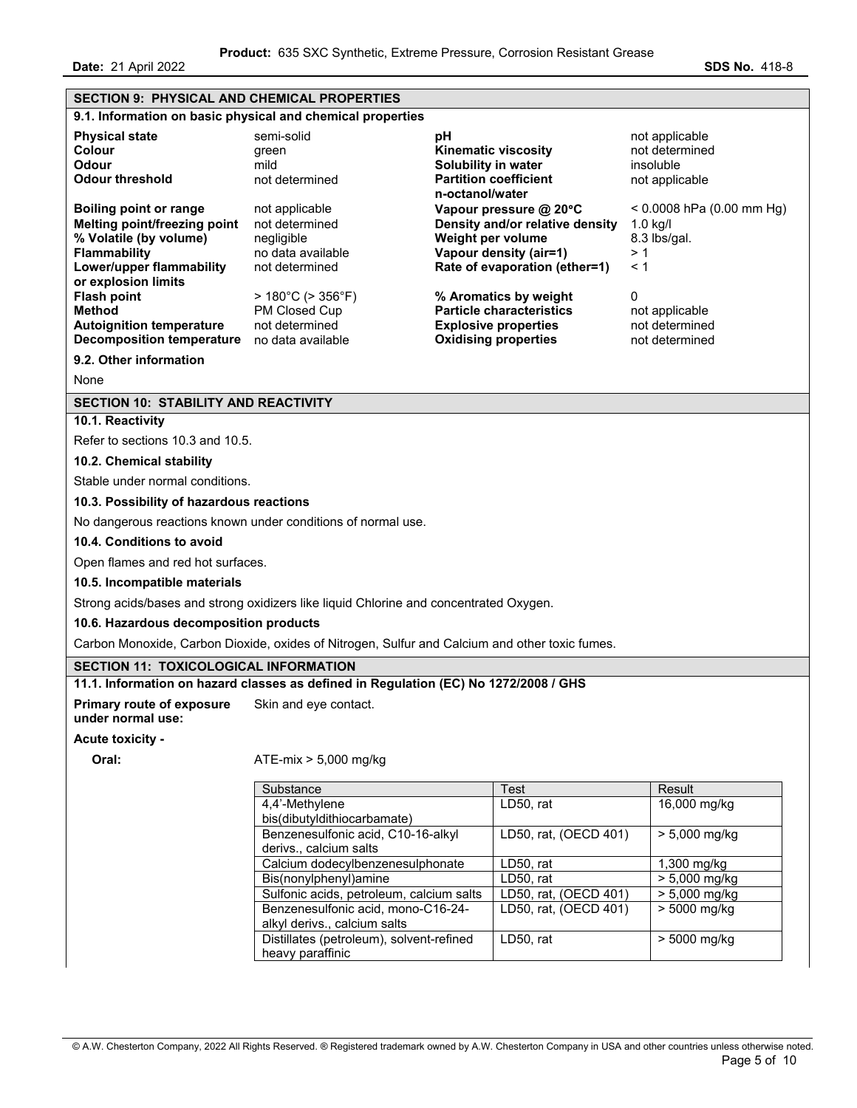**Date:** 21 April 2022 **SDS No. 418-8** 

| <b>SECTION 9: PHYSICAL AND CHEMICAL PROPERTIES</b>                                                                                                                |                                                                                                |                                                                                                                                           |                                                                        |
|-------------------------------------------------------------------------------------------------------------------------------------------------------------------|------------------------------------------------------------------------------------------------|-------------------------------------------------------------------------------------------------------------------------------------------|------------------------------------------------------------------------|
|                                                                                                                                                                   | 9.1. Information on basic physical and chemical properties                                     |                                                                                                                                           |                                                                        |
| <b>Physical state</b><br><b>Colour</b><br>Odour<br><b>Odour threshold</b>                                                                                         | semi-solid<br>green<br>mild<br>not determined                                                  | рH<br><b>Kinematic viscosity</b><br>Solubility in water<br><b>Partition coefficient</b><br>n-octanol/water                                | not applicable<br>not determined<br>insoluble<br>not applicable        |
| <b>Boiling point or range</b><br>Melting point/freezing point<br>% Volatile (by volume)<br><b>Flammability</b><br>Lower/upper flammability<br>or explosion limits | not applicable<br>not determined<br>negligible<br>no data available<br>not determined          | Vapour pressure @ 20°C<br>Density and/or relative density<br>Weight per volume<br>Vapour density (air=1)<br>Rate of evaporation (ether=1) | $< 0.0008$ hPa (0.00 mm Hg)<br>$1.0$ kg/l<br>8.3 lbs/gal.<br>>1<br>< 1 |
| <b>Flash point</b><br><b>Method</b><br><b>Autoignition temperature</b><br>Decomposition temperature no data available                                             | $>180^{\circ}$ C ( $>356^{\circ}$ F)<br>PM Closed Cup<br>not determined                        | % Aromatics by weight<br><b>Particle characteristics</b><br><b>Explosive properties</b><br><b>Oxidising properties</b>                    | 0<br>not applicable<br>not determined<br>not determined                |
| 9.2. Other information                                                                                                                                            |                                                                                                |                                                                                                                                           |                                                                        |
| None                                                                                                                                                              |                                                                                                |                                                                                                                                           |                                                                        |
| <b>SECTION 10: STABILITY AND REACTIVITY</b>                                                                                                                       |                                                                                                |                                                                                                                                           |                                                                        |
| 10.1. Reactivity                                                                                                                                                  |                                                                                                |                                                                                                                                           |                                                                        |
| Refer to sections 10.3 and 10.5.                                                                                                                                  |                                                                                                |                                                                                                                                           |                                                                        |
| 10.2. Chemical stability                                                                                                                                          |                                                                                                |                                                                                                                                           |                                                                        |
| Stable under normal conditions.                                                                                                                                   |                                                                                                |                                                                                                                                           |                                                                        |
| 10.3. Possibility of hazardous reactions                                                                                                                          |                                                                                                |                                                                                                                                           |                                                                        |
|                                                                                                                                                                   | No dangerous reactions known under conditions of normal use.                                   |                                                                                                                                           |                                                                        |
| 10.4. Conditions to avoid                                                                                                                                         |                                                                                                |                                                                                                                                           |                                                                        |
| Open flames and red hot surfaces.                                                                                                                                 |                                                                                                |                                                                                                                                           |                                                                        |
| 10.5. Incompatible materials                                                                                                                                      |                                                                                                |                                                                                                                                           |                                                                        |
|                                                                                                                                                                   | Strong acids/bases and strong oxidizers like liquid Chlorine and concentrated Oxygen.          |                                                                                                                                           |                                                                        |
| 10.6. Hazardous decomposition products                                                                                                                            |                                                                                                |                                                                                                                                           |                                                                        |
|                                                                                                                                                                   | Carbon Monoxide, Carbon Dioxide, oxides of Nitrogen, Sulfur and Calcium and other toxic fumes. |                                                                                                                                           |                                                                        |
|                                                                                                                                                                   |                                                                                                |                                                                                                                                           |                                                                        |
| <b>SECTION 11: TOXICOLOGICAL INFORMATION</b>                                                                                                                      | 11.1. Information on hazard classes as defined in Regulation (EC) No 1272/2008 / GHS           |                                                                                                                                           |                                                                        |
| <b>Primary route of exposure</b><br>under normal use:                                                                                                             | Skin and eye contact.                                                                          |                                                                                                                                           |                                                                        |
| <b>Acute toxicity -</b>                                                                                                                                           |                                                                                                |                                                                                                                                           |                                                                        |
| Oral:                                                                                                                                                             | $ATE-mix > 5,000 mg/kg$                                                                        |                                                                                                                                           |                                                                        |
|                                                                                                                                                                   | Substance                                                                                      | Test                                                                                                                                      | Result                                                                 |
|                                                                                                                                                                   | 4,4'-Methylene                                                                                 | LD50, rat                                                                                                                                 | 16,000 mg/kg                                                           |
|                                                                                                                                                                   | bis(dibutyldithiocarbamate)<br>Benzenesulfonic acid, C10-16-alkyl                              | LD50, rat, (OECD 401)                                                                                                                     | $> 5,000$ mg/kg                                                        |
|                                                                                                                                                                   | derivs., calcium salts                                                                         |                                                                                                                                           |                                                                        |
|                                                                                                                                                                   | Calcium dodecylbenzenesulphonate                                                               | LD50, rat                                                                                                                                 | 1,300 mg/kg                                                            |
|                                                                                                                                                                   | Bis(nonylphenyl)amine                                                                          | LD50, rat                                                                                                                                 | > 5,000 mg/kg                                                          |
|                                                                                                                                                                   | Sulfonic acids, petroleum, calcium salts<br>Benzenesulfonic acid, mono-C16-24-                 | LD50, rat, (OECD 401)<br>LD50, rat, (OECD 401)                                                                                            | $> 5,000$ mg/kg<br>> 5000 mg/kg                                        |
|                                                                                                                                                                   | alkyl derivs., calcium salts                                                                   |                                                                                                                                           |                                                                        |
|                                                                                                                                                                   | Distillates (petroleum), solvent-refined                                                       | LD50, rat                                                                                                                                 | > 5000 mg/kg                                                           |

© A.W. Chesterton Company, 2022 All Rights Reserved. ® Registered trademark owned by A.W. Chesterton Company in USA and other countries unless otherwise noted. Page 5 of 10

heavy paraffinic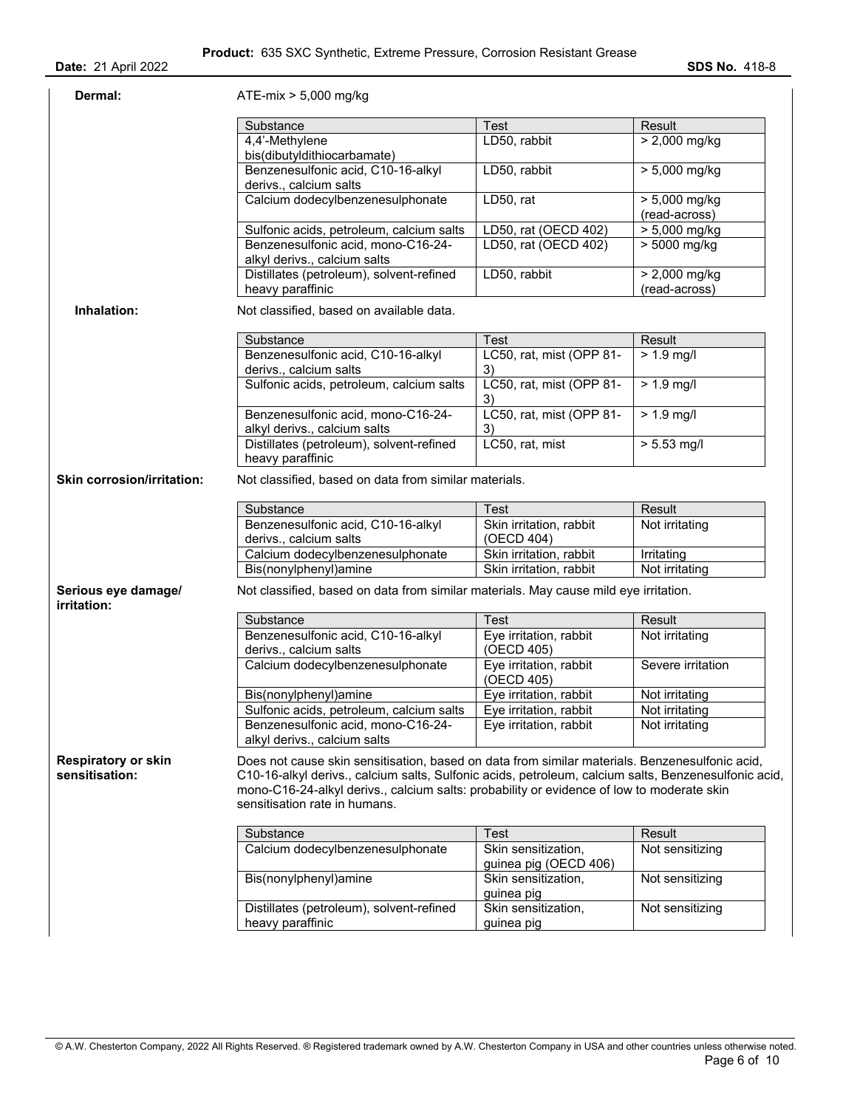| Dermal:                                      | ATE-mix > 5,000 mg/kg                                                                                                                                                                                                                                                                                                                |                                              |                                  |
|----------------------------------------------|--------------------------------------------------------------------------------------------------------------------------------------------------------------------------------------------------------------------------------------------------------------------------------------------------------------------------------------|----------------------------------------------|----------------------------------|
|                                              | Substance                                                                                                                                                                                                                                                                                                                            | Test                                         | Result                           |
|                                              | 4,4'-Methylene<br>bis(dibutyldithiocarbamate)                                                                                                                                                                                                                                                                                        | LD50, rabbit                                 | $> 2,000$ mg/kg                  |
|                                              | Benzenesulfonic acid, C10-16-alkyl<br>derivs., calcium salts                                                                                                                                                                                                                                                                         | LD50, rabbit                                 | $> 5,000$ mg/kg                  |
|                                              | Calcium dodecylbenzenesulphonate                                                                                                                                                                                                                                                                                                     | LD50, rat                                    | $> 5,000$ mg/kg<br>(read-across) |
|                                              | Sulfonic acids, petroleum, calcium salts                                                                                                                                                                                                                                                                                             | LD50, rat (OECD 402)                         | > 5,000 mg/kg                    |
|                                              | Benzenesulfonic acid, mono-C16-24-<br>alkyl derivs., calcium salts                                                                                                                                                                                                                                                                   | LD50, rat (OECD 402)                         | > 5000 mg/kg                     |
|                                              | Distillates (petroleum), solvent-refined<br>heavy paraffinic                                                                                                                                                                                                                                                                         | LD50, rabbit                                 | $> 2,000$ mg/kg<br>(read-across) |
| Inhalation:                                  | Not classified, based on available data.                                                                                                                                                                                                                                                                                             |                                              |                                  |
|                                              | Substance                                                                                                                                                                                                                                                                                                                            | Test                                         | Result                           |
|                                              | Benzenesulfonic acid, C10-16-alkyl<br>derivs., calcium salts                                                                                                                                                                                                                                                                         | LC50, rat, mist (OPP 81-<br>3)               | $> 1.9$ mg/l                     |
|                                              | Sulfonic acids, petroleum, calcium salts                                                                                                                                                                                                                                                                                             | LC50, rat, mist (OPP 81-<br>3)               | $> 1.9$ mg/l                     |
|                                              | Benzenesulfonic acid, mono-C16-24-<br>alkyl derivs., calcium salts                                                                                                                                                                                                                                                                   | LC50, rat, mist (OPP 81-<br>3)               | $> 1.9$ mg/l                     |
|                                              | Distillates (petroleum), solvent-refined<br>heavy paraffinic                                                                                                                                                                                                                                                                         | LC50, rat, mist                              | $> 5.53$ mg/l                    |
| <b>Skin corrosion/irritation:</b>            | Not classified, based on data from similar materials.                                                                                                                                                                                                                                                                                |                                              |                                  |
|                                              | Substance                                                                                                                                                                                                                                                                                                                            | Test                                         | Result                           |
|                                              | Benzenesulfonic acid, C10-16-alkyl<br>derivs., calcium salts                                                                                                                                                                                                                                                                         | Skin irritation, rabbit<br>(OECD 404)        | Not irritating                   |
|                                              | Calcium dodecylbenzenesulphonate                                                                                                                                                                                                                                                                                                     | Skin irritation, rabbit                      | Irritating                       |
|                                              | Bis(nonylphenyl)amine                                                                                                                                                                                                                                                                                                                | Skin irritation, rabbit                      | Not irritating                   |
| Serious eye damage/<br>irritation:           | Not classified, based on data from similar materials. May cause mild eye irritation.                                                                                                                                                                                                                                                 |                                              |                                  |
|                                              | Substance                                                                                                                                                                                                                                                                                                                            | Test                                         | Result                           |
|                                              | Benzenesulfonic acid, C10-16-alkyl<br>derivs., calcium salts                                                                                                                                                                                                                                                                         | Eye irritation, rabbit<br>(OECD 405)         | Not irritating                   |
|                                              | Calcium dodecylbenzenesulphonate                                                                                                                                                                                                                                                                                                     | Eye irritation, rabbit<br>(OECD 405)         | Severe irritation                |
|                                              | Bis(nonylphenyl)amine                                                                                                                                                                                                                                                                                                                | Eye irritation, rabbit                       | Not irritating                   |
|                                              | Sulfonic acids, petroleum, calcium salts                                                                                                                                                                                                                                                                                             | Eye irritation, rabbit                       | Not irritating                   |
|                                              | Benzenesulfonic acid, mono-C16-24-<br>alkyl derivs., calcium salts                                                                                                                                                                                                                                                                   | Eye irritation, rabbit                       | Not irritating                   |
| <b>Respiratory or skin</b><br>sensitisation: | Does not cause skin sensitisation, based on data from similar materials. Benzenesulfonic acid,<br>C10-16-alkyl derivs., calcium salts, Sulfonic acids, petroleum, calcium salts, Benzenesulfonic acid,<br>mono-C16-24-alkyl derivs., calcium salts: probability or evidence of low to moderate skin<br>sensitisation rate in humans. |                                              |                                  |
|                                              | Substance                                                                                                                                                                                                                                                                                                                            | <b>Test</b>                                  | Result                           |
|                                              | Calcium dodecylbenzenesulphonate                                                                                                                                                                                                                                                                                                     | Skin sensitization,<br>guinea pig (OECD 406) | Not sensitizing                  |
|                                              | Bis(nonylphenyl)amine                                                                                                                                                                                                                                                                                                                | Skin sensitization,<br>guinea pig            | Not sensitizing                  |
|                                              | Distillates (petroleum), solvent-refined<br>heavy paraffinic                                                                                                                                                                                                                                                                         | Skin sensitization,<br>guinea pig            | Not sensitizing                  |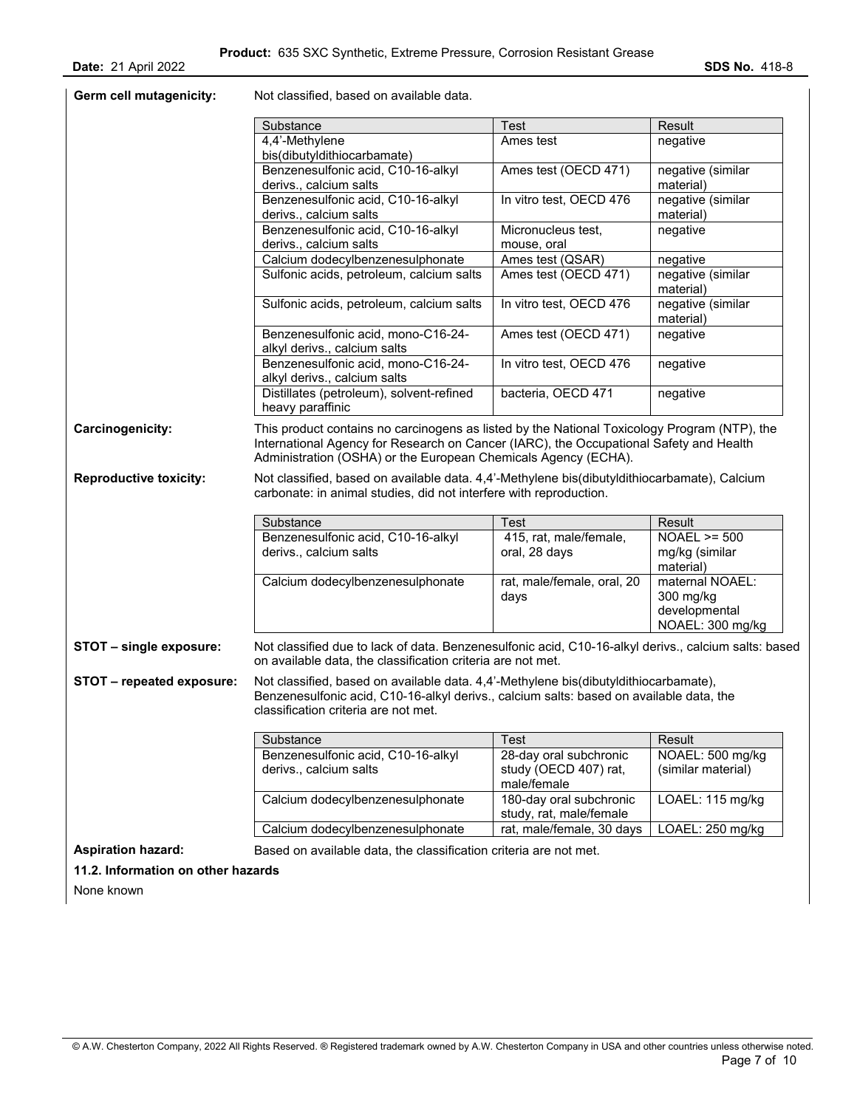| Germ cell mutagenicity:       | Not classified, based on available data.                                                                                                                                                                                             |                                                      |                                                                   |
|-------------------------------|--------------------------------------------------------------------------------------------------------------------------------------------------------------------------------------------------------------------------------------|------------------------------------------------------|-------------------------------------------------------------------|
|                               | Substance                                                                                                                                                                                                                            | <b>Test</b>                                          | Result                                                            |
|                               | 4,4'-Methylene<br>bis(dibutyldithiocarbamate)                                                                                                                                                                                        | Ames test                                            | negative                                                          |
|                               | Benzenesulfonic acid, C10-16-alkyl<br>derivs., calcium salts                                                                                                                                                                         | Ames test (OECD 471)                                 | negative (similar<br>material)                                    |
|                               | Benzenesulfonic acid, C10-16-alkyl<br>derivs., calcium salts                                                                                                                                                                         | In vitro test, OECD 476                              | negative (similar<br>material)                                    |
|                               | Benzenesulfonic acid, C10-16-alkyl<br>derivs., calcium salts                                                                                                                                                                         | Micronucleus test,                                   | negative                                                          |
|                               |                                                                                                                                                                                                                                      | mouse, oral                                          |                                                                   |
|                               | Calcium dodecylbenzenesulphonate<br>Sulfonic acids, petroleum, calcium salts                                                                                                                                                         | Ames test (QSAR)<br>Ames test (OECD 471)             | negative<br>negative (similar<br>material)                        |
|                               | Sulfonic acids, petroleum, calcium salts                                                                                                                                                                                             | In vitro test, OECD 476                              | negative (similar<br>material)                                    |
|                               | Benzenesulfonic acid, mono-C16-24-<br>alkyl derivs., calcium salts                                                                                                                                                                   | Ames test (OECD 471)                                 | negative                                                          |
|                               | Benzenesulfonic acid, mono-C16-24-<br>alkyl derivs., calcium salts                                                                                                                                                                   | In vitro test, OECD 476                              | negative                                                          |
|                               | Distillates (petroleum), solvent-refined<br>heavy paraffinic                                                                                                                                                                         | bacteria, OECD 471                                   | negative                                                          |
|                               |                                                                                                                                                                                                                                      |                                                      |                                                                   |
| <b>Reproductive toxicity:</b> | Administration (OSHA) or the European Chemicals Agency (ECHA).<br>Not classified, based on available data. 4,4'-Methylene bis(dibutyldithiocarbamate), Calcium<br>carbonate: in animal studies, did not interfere with reproduction. |                                                      |                                                                   |
|                               | Substance                                                                                                                                                                                                                            | <b>Test</b>                                          | Result                                                            |
|                               | Benzenesulfonic acid, C10-16-alkyl<br>derivs., calcium salts                                                                                                                                                                         | 415, rat, male/female,<br>oral, 28 days              | $NOAEL \ge 500$<br>mg/kg (similar<br>material)                    |
|                               | Calcium dodecylbenzenesulphonate                                                                                                                                                                                                     | rat, male/female, oral, 20<br>days                   | maternal NOAEL:<br>300 mg/kg<br>developmental<br>NOAEL: 300 mg/kg |
| STOT - single exposure:       | Not classified due to lack of data. Benzenesulfonic acid, C10-16-alkyl derivs., calcium salts: based<br>on available data, the classification criteria are not met.                                                                  |                                                      |                                                                   |
| STOT - repeated exposure:     | Not classified, based on available data. 4,4'-Methylene bis(dibutyldithiocarbamate),<br>Benzenesulfonic acid, C10-16-alkyl derivs., calcium salts: based on available data, the<br>classification criteria are not met.              |                                                      |                                                                   |
|                               |                                                                                                                                                                                                                                      | <b>Test</b>                                          |                                                                   |
|                               | Substance<br>Benzenesulfonic acid, C10-16-alkyl<br>derivs., calcium salts                                                                                                                                                            | 28-day oral subchronic<br>study (OECD 407) rat,      | Result<br>NOAEL: 500 mg/kg<br>(similar material)                  |
|                               | Calcium dodecylbenzenesulphonate                                                                                                                                                                                                     | male/female<br>180-day oral subchronic               | LOAEL: 115 mg/kg                                                  |
|                               | Calcium dodecylbenzenesulphonate                                                                                                                                                                                                     | study, rat, male/female<br>rat, male/female, 30 days | LOAEL: 250 mg/kg                                                  |

**11.2. Information on other hazards** 

None known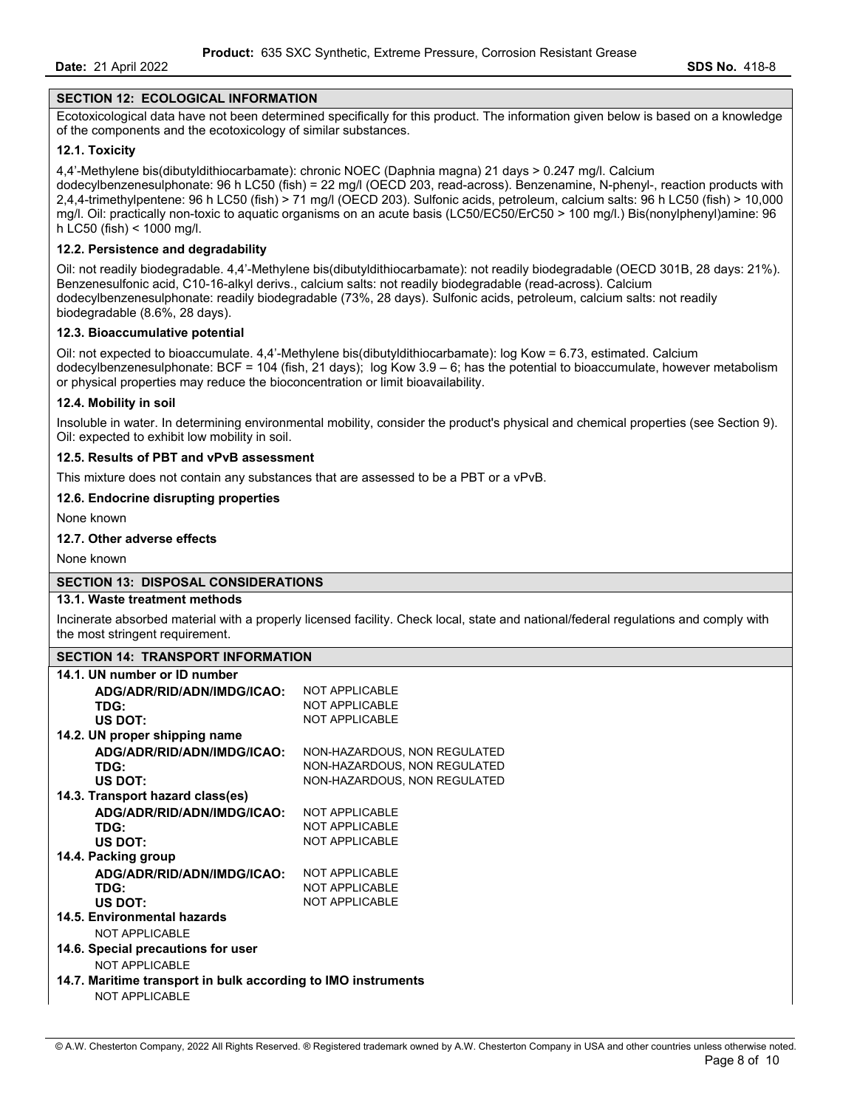#### **SECTION 12: ECOLOGICAL INFORMATION**

Ecotoxicological data have not been determined specifically for this product. The information given below is based on a knowledge of the components and the ecotoxicology of similar substances.

#### **12.1. Toxicity**

4,4'-Methylene bis(dibutyldithiocarbamate): chronic NOEC (Daphnia magna) 21 days > 0.247 mg/l. Calcium dodecylbenzenesulphonate: 96 h LC50 (fish) = 22 mg/l (OECD 203, read-across). Benzenamine, N-phenyl-, reaction products with 2,4,4-trimethylpentene: 96 h LC50 (fish) > 71 mg/l (OECD 203). Sulfonic acids, petroleum, calcium salts: 96 h LC50 (fish) > 10,000 mg/l. Oil: practically non-toxic to aquatic organisms on an acute basis (LC50/EC50/ErC50 > 100 mg/l.) Bis(nonylphenyl)amine: 96 h LC50 (fish) < 1000 mg/l.

#### **12.2. Persistence and degradability**

Oil: not readily biodegradable. 4,4'-Methylene bis(dibutyldithiocarbamate): not readily biodegradable (OECD 301B, 28 days: 21%). Benzenesulfonic acid, C10-16-alkyl derivs., calcium salts: not readily biodegradable (read-across). Calcium dodecylbenzenesulphonate: readily biodegradable (73%, 28 days). Sulfonic acids, petroleum, calcium salts: not readily biodegradable (8.6%, 28 days).

#### **12.3. Bioaccumulative potential**

Oil: not expected to bioaccumulate. 4,4'-Methylene bis(dibutyldithiocarbamate): log Kow = 6.73, estimated. Calcium dodecylbenzenesulphonate: BCF = 104 (fish, 21 days); log Kow 3.9 – 6; has the potential to bioaccumulate, however metabolism or physical properties may reduce the bioconcentration or limit bioavailability.

#### **12.4. Mobility in soil**

Insoluble in water. In determining environmental mobility, consider the product's physical and chemical properties (see Section 9). Oil: expected to exhibit low mobility in soil.

#### **12.5. Results of PBT and vPvB assessment**

This mixture does not contain any substances that are assessed to be a PBT or a vPvB.

#### **12.6. Endocrine disrupting properties**

None known

#### **12.7. Other adverse effects**

None known

#### **SECTION 13: DISPOSAL CONSIDERATIONS**

#### **13.1. Waste treatment methods**

Incinerate absorbed material with a properly licensed facility. Check local, state and national/federal regulations and comply with the most stringent requirement.

#### **SECTION 14: TRANSPORT INFORMATION**

| 14.1. UN number or ID number                                  |                              |
|---------------------------------------------------------------|------------------------------|
| ADG/ADR/RID/ADN/IMDG/ICAO:                                    | NOT APPLICABLE               |
| TDG:                                                          | <b>NOT APPLICABLE</b>        |
| US DOT:                                                       | <b>NOT APPLICABLE</b>        |
| 14.2. UN proper shipping name                                 |                              |
| ADG/ADR/RID/ADN/IMDG/ICAO:                                    | NON-HAZARDOUS, NON REGULATED |
| TDG:                                                          | NON-HAZARDOUS, NON REGULATED |
| US DOT:                                                       | NON-HAZARDOUS, NON REGULATED |
| 14.3. Transport hazard class(es)                              |                              |
| ADG/ADR/RID/ADN/IMDG/ICAO:                                    | <b>NOT APPLICABLE</b>        |
| TDG:                                                          | <b>NOT APPLICABLE</b>        |
| US DOT:                                                       | NOT APPLICABLE               |
| 14.4. Packing group                                           |                              |
| ADG/ADR/RID/ADN/IMDG/ICAO:                                    | <b>NOT APPLICABLE</b>        |
| TDG:                                                          | <b>NOT APPLICABLE</b>        |
| US DOT:                                                       | <b>NOT APPLICABLE</b>        |
| 14.5. Environmental hazards                                   |                              |
| NOT APPLICABLE                                                |                              |
| 14.6. Special precautions for user                            |                              |
| <b>NOT APPLICABLE</b>                                         |                              |
| 14.7. Maritime transport in bulk according to IMO instruments |                              |
| NOT APPLICABLE                                                |                              |

# © A.W. Chesterton Company, 2022 All Rights Reserved. ® Registered trademark owned by A.W. Chesterton Company in USA and other countries unless otherwise noted.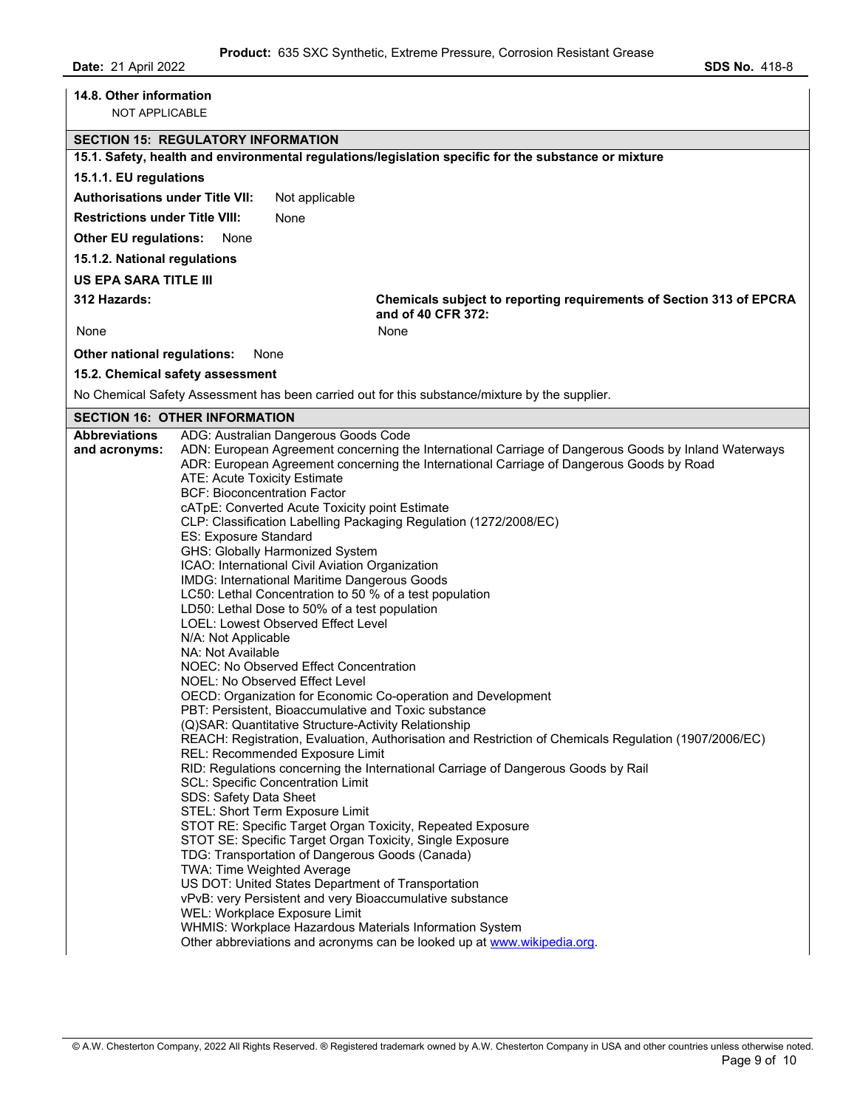| 15.1.1. EU regulations<br><b>Authorisations under Title VII:</b><br><b>Restrictions under Title VIII:</b><br><b>Other EU regulations:</b> | <b>SECTION 15: REGULATORY INFORMATION</b><br>15.1. Safety, health and environmental regulations/legislation specific for the substance or mixture<br>Not applicable<br>None                                                                                                                                                                                                                                                                                                                                                                                                                                                                                                                                                                                                                                                                                                                                                                                                                                                                                                                                                                                                                                                                                                                                                                  |                                                                     |
|-------------------------------------------------------------------------------------------------------------------------------------------|----------------------------------------------------------------------------------------------------------------------------------------------------------------------------------------------------------------------------------------------------------------------------------------------------------------------------------------------------------------------------------------------------------------------------------------------------------------------------------------------------------------------------------------------------------------------------------------------------------------------------------------------------------------------------------------------------------------------------------------------------------------------------------------------------------------------------------------------------------------------------------------------------------------------------------------------------------------------------------------------------------------------------------------------------------------------------------------------------------------------------------------------------------------------------------------------------------------------------------------------------------------------------------------------------------------------------------------------|---------------------------------------------------------------------|
|                                                                                                                                           |                                                                                                                                                                                                                                                                                                                                                                                                                                                                                                                                                                                                                                                                                                                                                                                                                                                                                                                                                                                                                                                                                                                                                                                                                                                                                                                                              |                                                                     |
|                                                                                                                                           |                                                                                                                                                                                                                                                                                                                                                                                                                                                                                                                                                                                                                                                                                                                                                                                                                                                                                                                                                                                                                                                                                                                                                                                                                                                                                                                                              |                                                                     |
|                                                                                                                                           |                                                                                                                                                                                                                                                                                                                                                                                                                                                                                                                                                                                                                                                                                                                                                                                                                                                                                                                                                                                                                                                                                                                                                                                                                                                                                                                                              |                                                                     |
|                                                                                                                                           |                                                                                                                                                                                                                                                                                                                                                                                                                                                                                                                                                                                                                                                                                                                                                                                                                                                                                                                                                                                                                                                                                                                                                                                                                                                                                                                                              |                                                                     |
|                                                                                                                                           |                                                                                                                                                                                                                                                                                                                                                                                                                                                                                                                                                                                                                                                                                                                                                                                                                                                                                                                                                                                                                                                                                                                                                                                                                                                                                                                                              |                                                                     |
|                                                                                                                                           | None                                                                                                                                                                                                                                                                                                                                                                                                                                                                                                                                                                                                                                                                                                                                                                                                                                                                                                                                                                                                                                                                                                                                                                                                                                                                                                                                         |                                                                     |
| 15.1.2. National regulations                                                                                                              |                                                                                                                                                                                                                                                                                                                                                                                                                                                                                                                                                                                                                                                                                                                                                                                                                                                                                                                                                                                                                                                                                                                                                                                                                                                                                                                                              |                                                                     |
| <b>US EPA SARA TITLE III</b>                                                                                                              |                                                                                                                                                                                                                                                                                                                                                                                                                                                                                                                                                                                                                                                                                                                                                                                                                                                                                                                                                                                                                                                                                                                                                                                                                                                                                                                                              |                                                                     |
| 312 Hazards:                                                                                                                              | and of 40 CFR 372:                                                                                                                                                                                                                                                                                                                                                                                                                                                                                                                                                                                                                                                                                                                                                                                                                                                                                                                                                                                                                                                                                                                                                                                                                                                                                                                           | Chemicals subject to reporting requirements of Section 313 of EPCRA |
| None                                                                                                                                      | None                                                                                                                                                                                                                                                                                                                                                                                                                                                                                                                                                                                                                                                                                                                                                                                                                                                                                                                                                                                                                                                                                                                                                                                                                                                                                                                                         |                                                                     |
| Other national regulations:                                                                                                               | None                                                                                                                                                                                                                                                                                                                                                                                                                                                                                                                                                                                                                                                                                                                                                                                                                                                                                                                                                                                                                                                                                                                                                                                                                                                                                                                                         |                                                                     |
|                                                                                                                                           | 15.2. Chemical safety assessment                                                                                                                                                                                                                                                                                                                                                                                                                                                                                                                                                                                                                                                                                                                                                                                                                                                                                                                                                                                                                                                                                                                                                                                                                                                                                                             |                                                                     |
|                                                                                                                                           | No Chemical Safety Assessment has been carried out for this substance/mixture by the supplier.                                                                                                                                                                                                                                                                                                                                                                                                                                                                                                                                                                                                                                                                                                                                                                                                                                                                                                                                                                                                                                                                                                                                                                                                                                               |                                                                     |
|                                                                                                                                           | <b>SECTION 16: OTHER INFORMATION</b>                                                                                                                                                                                                                                                                                                                                                                                                                                                                                                                                                                                                                                                                                                                                                                                                                                                                                                                                                                                                                                                                                                                                                                                                                                                                                                         |                                                                     |
| <b>Abbreviations</b>                                                                                                                      | ADG: Australian Dangerous Goods Code                                                                                                                                                                                                                                                                                                                                                                                                                                                                                                                                                                                                                                                                                                                                                                                                                                                                                                                                                                                                                                                                                                                                                                                                                                                                                                         |                                                                     |
| and acronyms:                                                                                                                             | ADN: European Agreement concerning the International Carriage of Dangerous Goods by Inland Waterways<br>ADR: European Agreement concerning the International Carriage of Dangerous Goods by Road<br><b>ATE: Acute Toxicity Estimate</b><br><b>BCF: Bioconcentration Factor</b><br>cATpE: Converted Acute Toxicity point Estimate<br>CLP: Classification Labelling Packaging Regulation (1272/2008/EC)<br>ES: Exposure Standard<br>GHS: Globally Harmonized System<br>ICAO: International Civil Aviation Organization<br>IMDG: International Maritime Dangerous Goods<br>LC50: Lethal Concentration to 50 % of a test population<br>LD50: Lethal Dose to 50% of a test population<br><b>LOEL: Lowest Observed Effect Level</b><br>N/A: Not Applicable<br>NA: Not Available<br>NOEC: No Observed Effect Concentration<br>NOEL: No Observed Effect Level<br>OECD: Organization for Economic Co-operation and Development<br>PBT: Persistent, Bioaccumulative and Toxic substance<br>(Q)SAR: Quantitative Structure-Activity Relationship<br>REACH: Registration, Evaluation, Authorisation and Restriction of Chemicals Regulation (1907/2006/EC)<br>REL: Recommended Exposure Limit<br>RID: Regulations concerning the International Carriage of Dangerous Goods by Rail<br><b>SCL: Specific Concentration Limit</b><br>SDS: Safety Data Sheet |                                                                     |